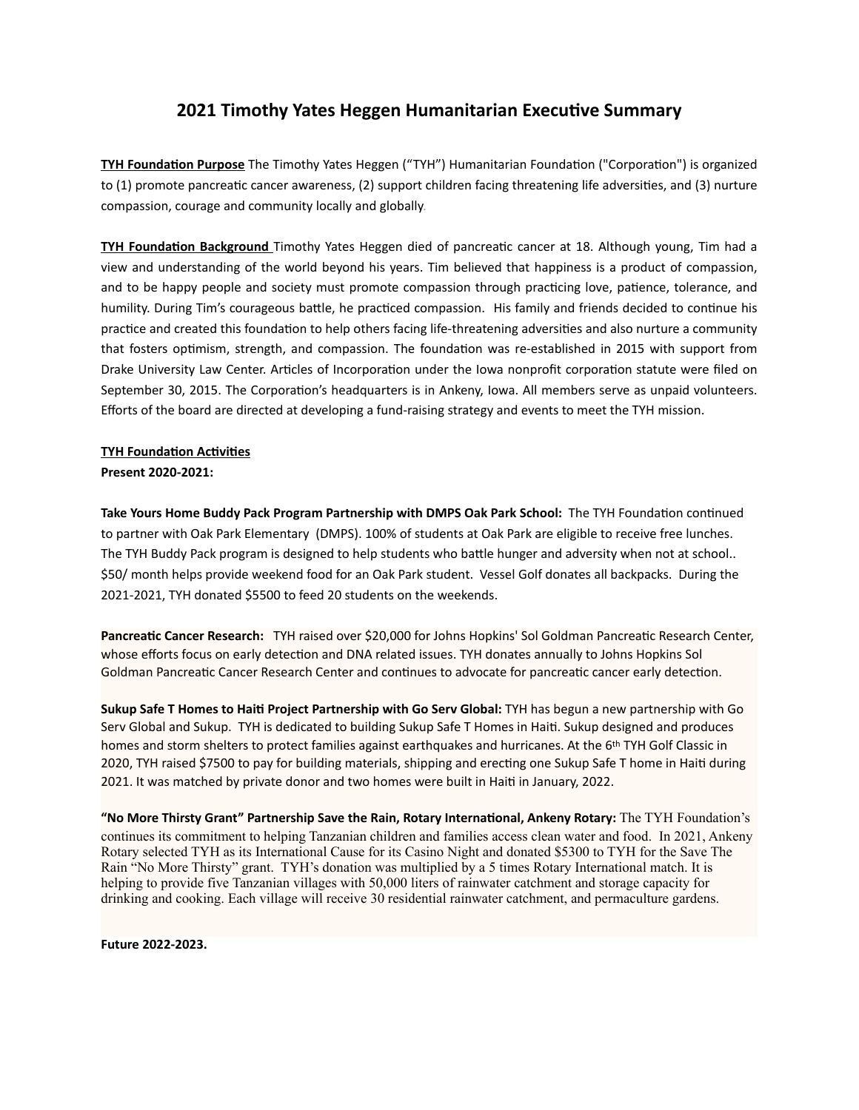## **2021 Timothy Yates Heggen Humanitarian Executive Summary**

**TYH Foundation Purpose** The Timothy Yates Heggen ("TYH") Humanitarian Foundation ("Corporation") is organized to (1) promote pancreatic cancer awareness, (2) support children facing threatening life adversities, and (3) nurture compassion, courage and community locally and globally.

**TYH Foundation Background** Timothy Yates Heggen died of pancreatic cancer at 18. Although young, Tim had a view and understanding of the world beyond his years. Tim believed that happiness is a product of compassion, and to be happy people and society must promote compassion through practicing love, patience, tolerance, and humility. During Tim's courageous battle, he practiced compassion. His family and friends decided to continue his practice and created this foundation to help others facing life-threatening adversities and also nurture a community that fosters optimism, strength, and compassion. The foundation was re-established in 2015 with support from Drake University Law Center. Articles of Incorporation under the Iowa nonprofit corporation statute were filed on September 30, 2015. The Corporation's headquarters is in Ankeny, Iowa. All members serve as unpaid volunteers. Efforts of the board are directed at developing a fund-raising strategy and events to meet the TYH mission.

## **TYH Foundation Activities**

**Present 2020-2021:** 

Take Yours Home Buddy Pack Program Partnership with DMPS Oak Park School: The TYH Foundation continued to partner with Oak Park Elementary (DMPS). 100% of students at Oak Park are eligible to receive free lunches. The TYH Buddy Pack program is designed to help students who battle hunger and adversity when not at school.. \$50/ month helps provide weekend food for an Oak Park student. Vessel Golf donates all backpacks. During the 2021-2021, TYH donated \$5500 to feed 20 students on the weekends.

Pancreatic Cancer Research: TYH raised over \$20,000 for Johns Hopkins' Sol Goldman Pancreatic Research Center, whose efforts focus on early detection and DNA related issues. TYH donates annually to Johns Hopkins Sol Goldman Pancreatic Cancer Research Center and continues to advocate for pancreatic cancer early detection.

**Sukup Safe T Homes to Haiti Project Partnership with Go Serv Global: TYH has begun a new partnership with Go** Serv Global and Sukup. TYH is dedicated to building Sukup Safe T Homes in Haiti. Sukup designed and produces homes and storm shelters to protect families against earthquakes and hurricanes. At the 6<sup>th</sup> TYH Golf Classic in 2020, TYH raised \$7500 to pay for building materials, shipping and erecting one Sukup Safe T home in Haiti during 2021. It was matched by private donor and two homes were built in Haiti in January, 2022.

**"No More Thirsty Grant" Partnership Save the Rain, Rotary Interna8onal, Ankeny Rotary:** The TYH Foundation's continues its commitment to helping Tanzanian children and families access clean water and food. In 2021, Ankeny Rotary selected TYH as its International Cause for its Casino Night and donated \$5300 to TYH for the Save The Rain "No More Thirsty" grant. TYH's donation was multiplied by a 5 times Rotary International match. It is helping to provide five Tanzanian villages with 50,000 liters of rainwater catchment and storage capacity for drinking and cooking. Each village will receive 30 residential rainwater catchment, and permaculture gardens.

**Future 2022-2023.**